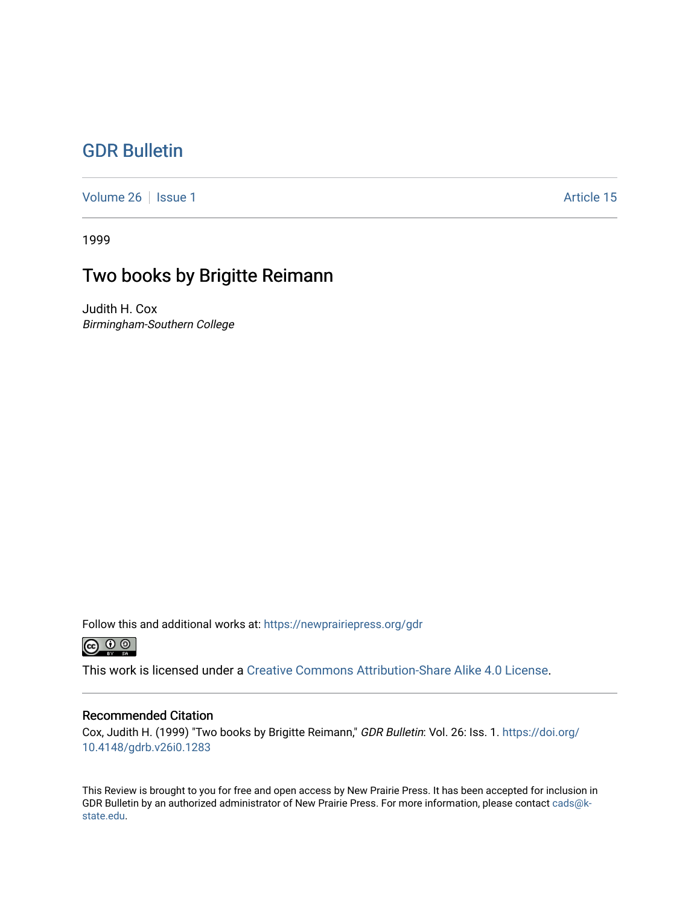## [GDR Bulletin](https://newprairiepress.org/gdr)

[Volume 26](https://newprairiepress.org/gdr/vol26) | [Issue 1](https://newprairiepress.org/gdr/vol26/iss1) Article 15

1999

# Two books by Brigitte Reimann

Judith H. Cox Birmingham-Southern College

Follow this and additional works at: [https://newprairiepress.org/gdr](https://newprairiepress.org/gdr?utm_source=newprairiepress.org%2Fgdr%2Fvol26%2Fiss1%2F15&utm_medium=PDF&utm_campaign=PDFCoverPages) 



This work is licensed under a [Creative Commons Attribution-Share Alike 4.0 License.](https://creativecommons.org/licenses/by-sa/4.0/)

## Recommended Citation

Cox, Judith H. (1999) "Two books by Brigitte Reimann," GDR Bulletin: Vol. 26: Iss. 1. [https://doi.org/](https://doi.org/10.4148/gdrb.v26i0.1283) [10.4148/gdrb.v26i0.1283](https://doi.org/10.4148/gdrb.v26i0.1283) 

This Review is brought to you for free and open access by New Prairie Press. It has been accepted for inclusion in GDR Bulletin by an authorized administrator of New Prairie Press. For more information, please contact [cads@k](mailto:cads@k-state.edu)[state.edu](mailto:cads@k-state.edu).